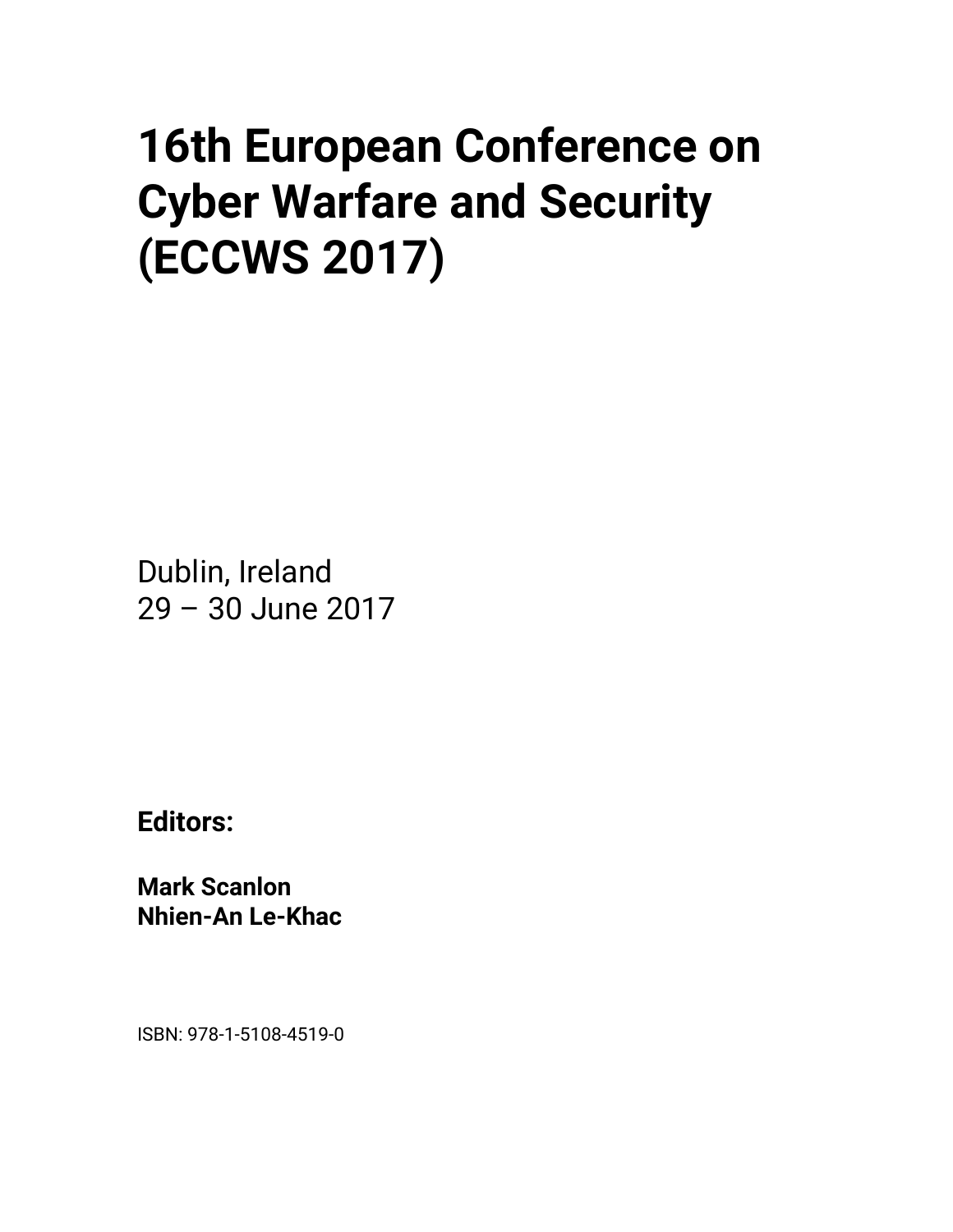## **16th European Conference on Cyber Warfare and Security (ECCWS 2017)**

Dublin, Ireland 29 – 30 June 2017

**Editors:** 

**Mark Scanlon Nhien-An Le-Khac** 

ISBN: 978-1-5108-4519-0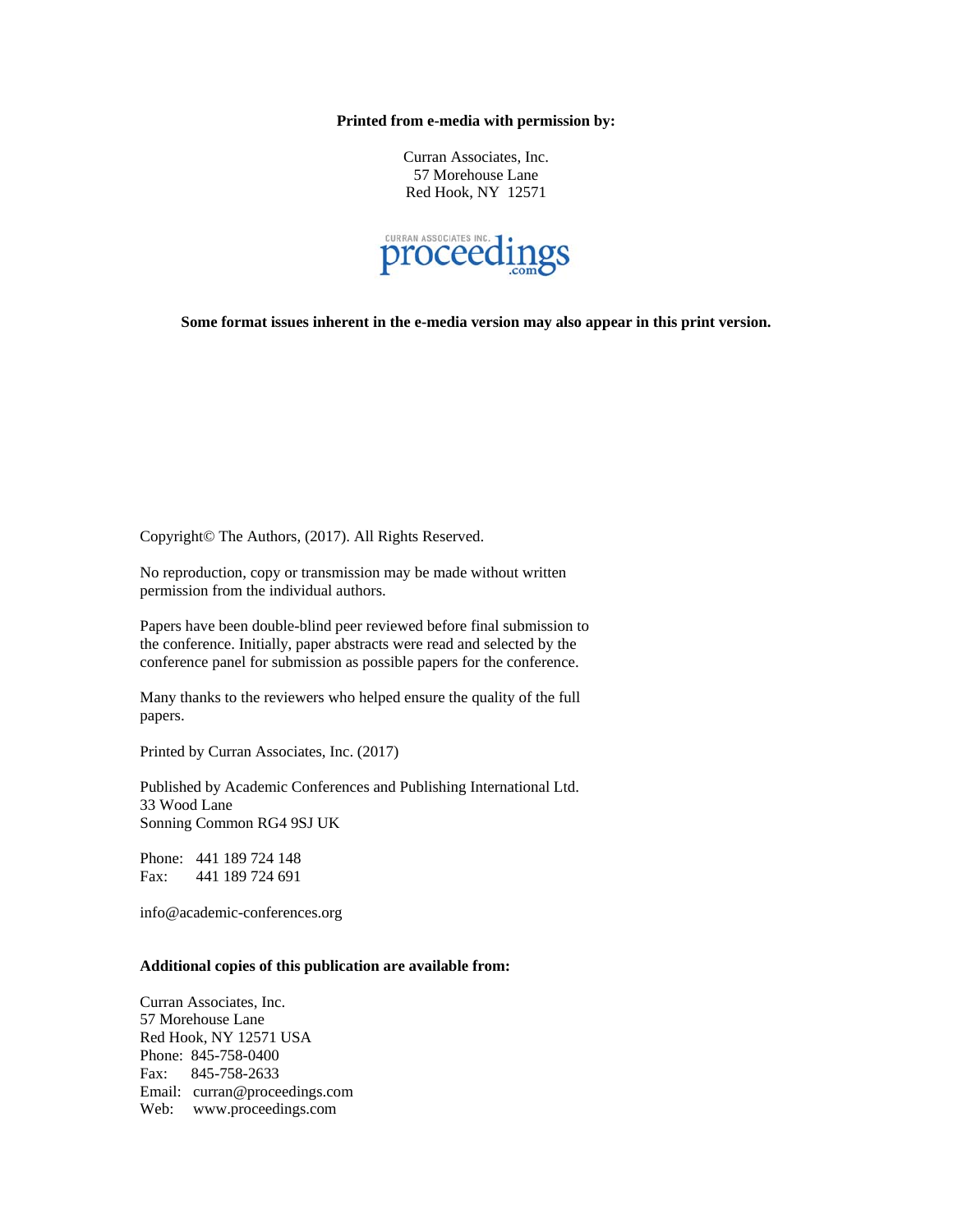## **Printed from e-media with permission by:**

Curran Associates, Inc. 57 Morehouse Lane Red Hook, NY 12571



**Some format issues inherent in the e-media version may also appear in this print version.** 

Copyright© The Authors, (2017). All Rights Reserved.

No reproduction, copy or transmission may be made without written permission from the individual authors.

Papers have been double-blind peer reviewed before final submission to the conference. Initially, paper abstracts were read and selected by the conference panel for submission as possible papers for the conference.

Many thanks to the reviewers who helped ensure the quality of the full papers.

Printed by Curran Associates, Inc. (2017)

Published by Academic Conferences and Publishing International Ltd. 33 Wood Lane Sonning Common RG4 9SJ UK

Phone: 441 189 724 148 Fax: 441 189 724 691

info@academic-conferences.org

## **Additional copies of this publication are available from:**

Curran Associates, Inc. 57 Morehouse Lane Red Hook, NY 12571 USA Phone: 845-758-0400 Fax: 845-758-2633 Email: curran@proceedings.com Web: www.proceedings.com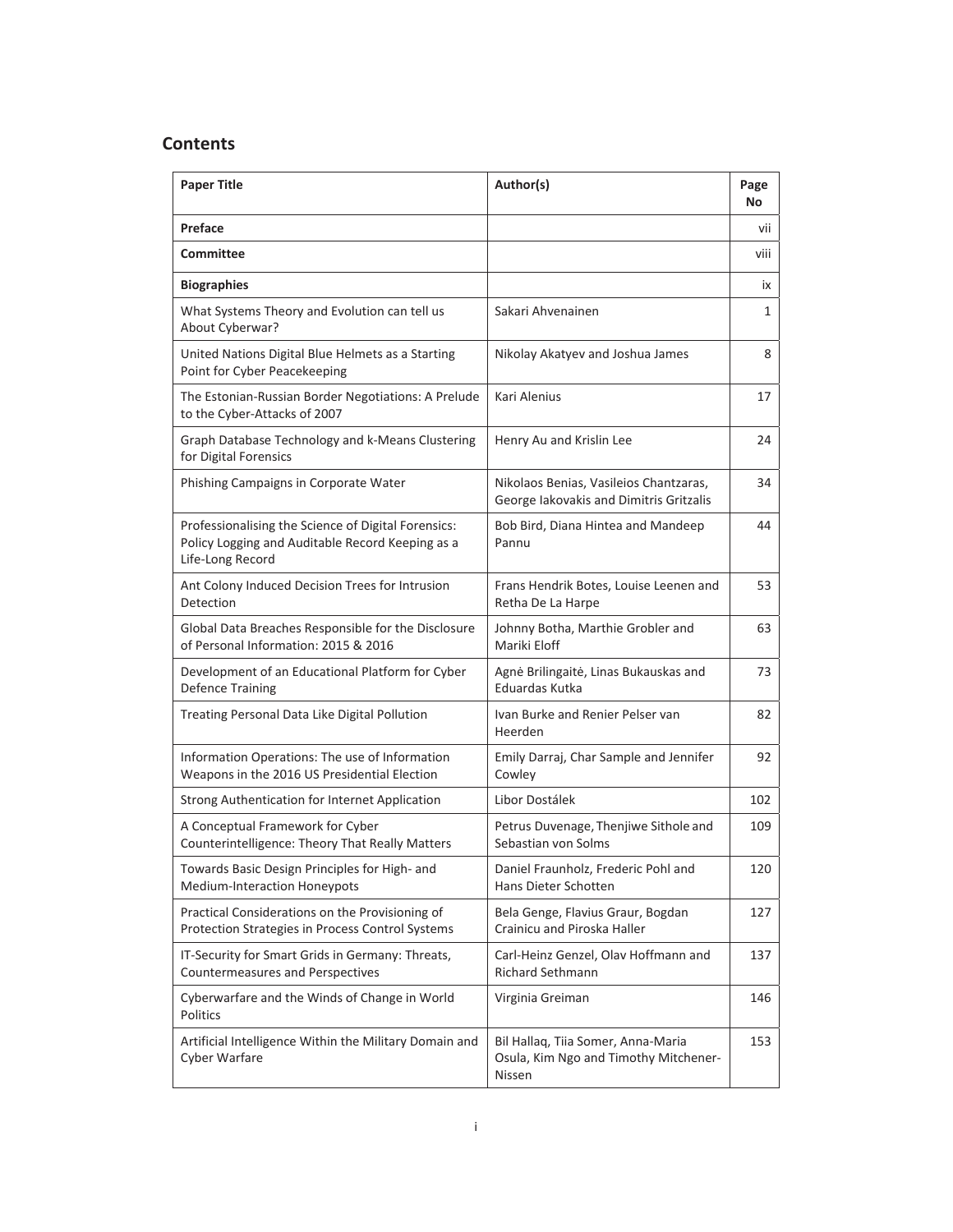## **Contents**

| <b>Paper Title</b>                                                                                                          | Author(s)                                                                             | Page<br>No |
|-----------------------------------------------------------------------------------------------------------------------------|---------------------------------------------------------------------------------------|------------|
| Preface                                                                                                                     |                                                                                       | vii        |
| <b>Committee</b>                                                                                                            |                                                                                       | viii       |
| <b>Biographies</b>                                                                                                          |                                                                                       | ix         |
| What Systems Theory and Evolution can tell us<br>About Cyberwar?                                                            | Sakari Ahvenainen                                                                     | 1          |
| United Nations Digital Blue Helmets as a Starting<br>Point for Cyber Peacekeeping                                           | Nikolay Akatyev and Joshua James                                                      | 8          |
| The Estonian-Russian Border Negotiations: A Prelude<br>to the Cyber-Attacks of 2007                                         | Kari Alenius                                                                          | 17         |
| Graph Database Technology and k-Means Clustering<br>for Digital Forensics                                                   | Henry Au and Krislin Lee                                                              | 24         |
| Phishing Campaigns in Corporate Water                                                                                       | Nikolaos Benias, Vasileios Chantzaras,<br>George lakovakis and Dimitris Gritzalis     | 34         |
| Professionalising the Science of Digital Forensics:<br>Policy Logging and Auditable Record Keeping as a<br>Life-Long Record | Bob Bird, Diana Hintea and Mandeep<br>Pannu                                           | 44         |
| Ant Colony Induced Decision Trees for Intrusion<br>Detection                                                                | Frans Hendrik Botes, Louise Leenen and<br>Retha De La Harpe                           | 53         |
| Global Data Breaches Responsible for the Disclosure<br>of Personal Information: 2015 & 2016                                 | Johnny Botha, Marthie Grobler and<br>Mariki Eloff                                     | 63         |
| Development of an Educational Platform for Cyber<br><b>Defence Training</b>                                                 | Agnė Brilingaitė, Linas Bukauskas and<br>Eduardas Kutka                               | 73         |
| Treating Personal Data Like Digital Pollution                                                                               | Ivan Burke and Renier Pelser van<br>Heerden                                           | 82         |
| Information Operations: The use of Information<br>Weapons in the 2016 US Presidential Election                              | Emily Darraj, Char Sample and Jennifer<br>Cowley                                      | 92         |
| Strong Authentication for Internet Application                                                                              | Libor Dostálek                                                                        | 102        |
| A Conceptual Framework for Cyber<br>Counterintelligence: Theory That Really Matters                                         | Petrus Duvenage, Thenjiwe Sithole and<br>Sebastian von Solms                          | 109        |
| Towards Basic Design Principles for High- and<br>Medium-Interaction Honeypots                                               | Daniel Fraunholz, Frederic Pohl and<br>Hans Dieter Schotten                           | 120        |
| Practical Considerations on the Provisioning of<br>Protection Strategies in Process Control Systems                         | Bela Genge, Flavius Graur, Bogdan<br>Crainicu and Piroska Haller                      | 127        |
| IT-Security for Smart Grids in Germany: Threats,<br>Countermeasures and Perspectives                                        | Carl-Heinz Genzel, Olav Hoffmann and<br>Richard Sethmann                              | 137        |
| Cyberwarfare and the Winds of Change in World<br>Politics                                                                   | Virginia Greiman                                                                      | 146        |
| Artificial Intelligence Within the Military Domain and<br>Cyber Warfare                                                     | Bil Hallaq, Tiia Somer, Anna-Maria<br>Osula, Kim Ngo and Timothy Mitchener-<br>Nissen | 153        |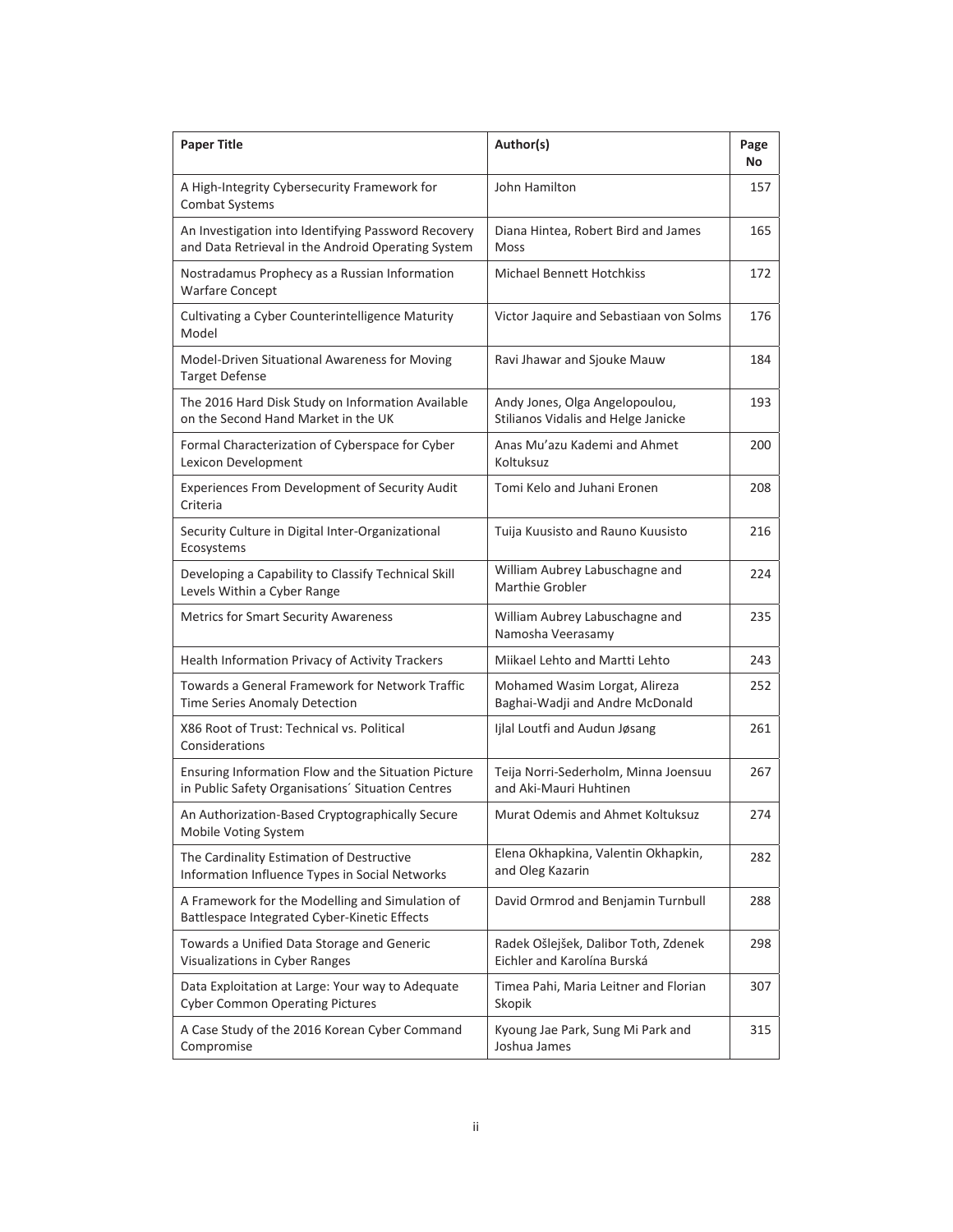| <b>Paper Title</b>                                                                                        | Author(s)                                                             | Page<br>No |
|-----------------------------------------------------------------------------------------------------------|-----------------------------------------------------------------------|------------|
| A High-Integrity Cybersecurity Framework for<br><b>Combat Systems</b>                                     | John Hamilton                                                         | 157        |
| An Investigation into Identifying Password Recovery<br>and Data Retrieval in the Android Operating System | Diana Hintea, Robert Bird and James<br><b>Moss</b>                    | 165        |
| Nostradamus Prophecy as a Russian Information<br><b>Warfare Concept</b>                                   | <b>Michael Bennett Hotchkiss</b>                                      | 172        |
| Cultivating a Cyber Counterintelligence Maturity<br>Model                                                 | Victor Jaquire and Sebastiaan von Solms                               | 176        |
| Model-Driven Situational Awareness for Moving<br><b>Target Defense</b>                                    | Ravi Jhawar and Sjouke Mauw                                           | 184        |
| The 2016 Hard Disk Study on Information Available<br>on the Second Hand Market in the UK                  | Andy Jones, Olga Angelopoulou,<br>Stilianos Vidalis and Helge Janicke | 193        |
| Formal Characterization of Cyberspace for Cyber<br>Lexicon Development                                    | Anas Mu'azu Kademi and Ahmet<br>Koltuksuz                             | 200        |
| Experiences From Development of Security Audit<br>Criteria                                                | Tomi Kelo and Juhani Eronen                                           | 208        |
| Security Culture in Digital Inter-Organizational<br>Ecosystems                                            | Tuija Kuusisto and Rauno Kuusisto                                     | 216        |
| Developing a Capability to Classify Technical Skill<br>Levels Within a Cyber Range                        | William Aubrey Labuschagne and<br><b>Marthie Grobler</b>              | 224        |
| <b>Metrics for Smart Security Awareness</b>                                                               | William Aubrey Labuschagne and<br>Namosha Veerasamy                   | 235        |
| Health Information Privacy of Activity Trackers                                                           | Miikael Lehto and Martti Lehto                                        | 243        |
| Towards a General Framework for Network Traffic<br>Time Series Anomaly Detection                          | Mohamed Wasim Lorgat, Alireza<br>Baghai-Wadji and Andre McDonald      | 252        |
| X86 Root of Trust: Technical vs. Political<br>Considerations                                              | Ijlal Loutfi and Audun Jøsang                                         | 261        |
| Ensuring Information Flow and the Situation Picture<br>in Public Safety Organisations' Situation Centres  | Teija Norri-Sederholm, Minna Joensuu<br>and Aki-Mauri Huhtinen        | 267        |
| An Authorization-Based Cryptographically Secure<br>Mobile Voting System                                   | Murat Odemis and Ahmet Koltuksuz                                      | 274        |
| The Cardinality Estimation of Destructive<br>Information Influence Types in Social Networks               | Elena Okhapkina, Valentin Okhapkin,<br>and Oleg Kazarin               | 282        |
| A Framework for the Modelling and Simulation of<br>Battlespace Integrated Cyber-Kinetic Effects           | David Ormrod and Benjamin Turnbull                                    | 288        |
| Towards a Unified Data Storage and Generic<br>Visualizations in Cyber Ranges                              | Radek Ošlejšek, Dalibor Toth, Zdenek<br>Eichler and Karolína Burská   | 298        |
| Data Exploitation at Large: Your way to Adequate<br><b>Cyber Common Operating Pictures</b>                | Timea Pahi, Maria Leitner and Florian<br>Skopik                       | 307        |
| A Case Study of the 2016 Korean Cyber Command<br>Compromise                                               | Kyoung Jae Park, Sung Mi Park and<br>Joshua James                     | 315        |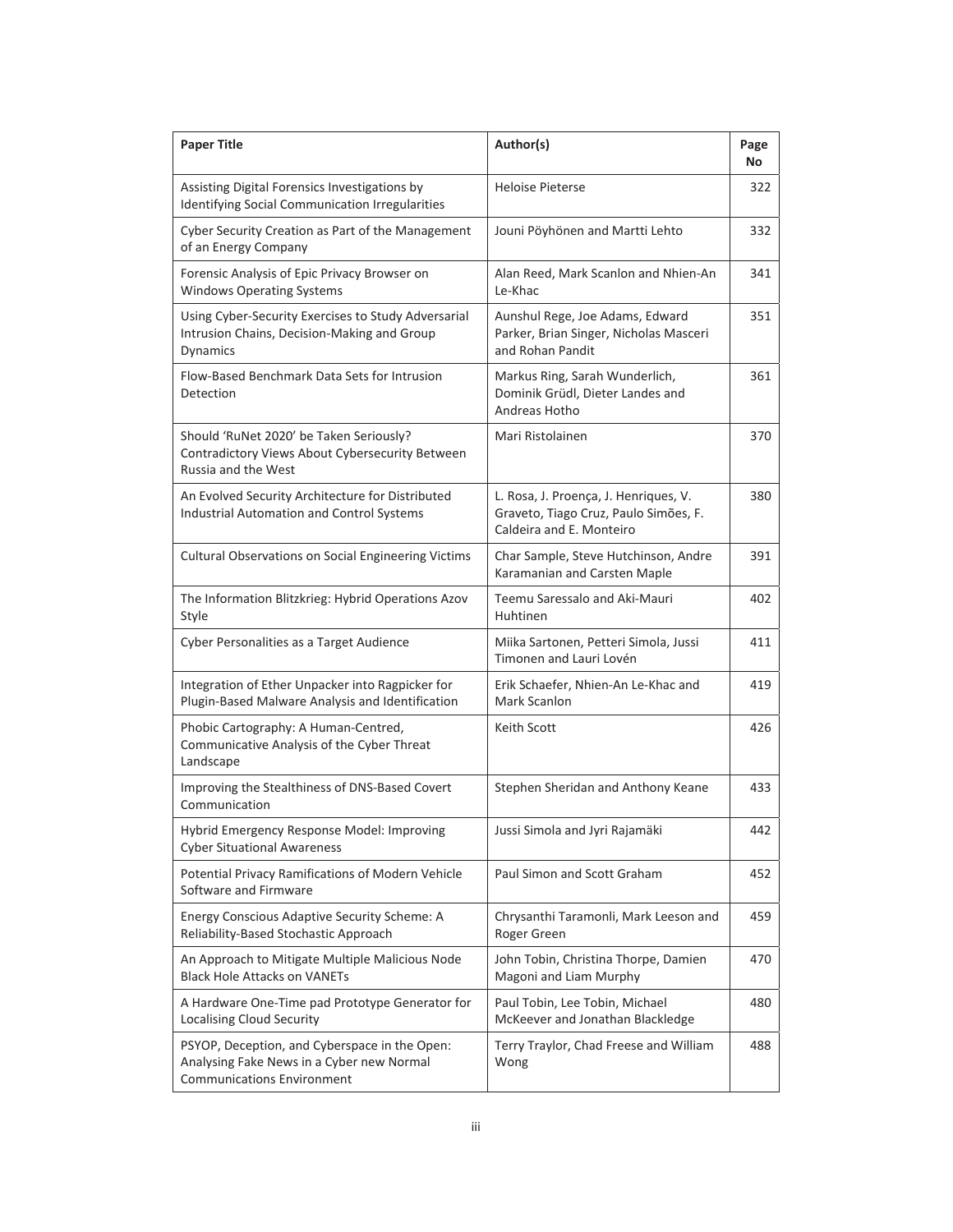| <b>Paper Title</b>                                                                                                              | Author(s)                                                                                                  | Page<br>No |
|---------------------------------------------------------------------------------------------------------------------------------|------------------------------------------------------------------------------------------------------------|------------|
| Assisting Digital Forensics Investigations by<br>Identifying Social Communication Irregularities                                | Heloise Pieterse                                                                                           | 322        |
| Cyber Security Creation as Part of the Management<br>of an Energy Company                                                       | Jouni Pöyhönen and Martti Lehto                                                                            | 332        |
| Forensic Analysis of Epic Privacy Browser on<br><b>Windows Operating Systems</b>                                                | Alan Reed, Mark Scanlon and Nhien-An<br>Le-Khac                                                            | 341        |
| Using Cyber-Security Exercises to Study Adversarial<br>Intrusion Chains, Decision-Making and Group<br>Dynamics                  | Aunshul Rege, Joe Adams, Edward<br>Parker, Brian Singer, Nicholas Masceri<br>and Rohan Pandit              | 351        |
| Flow-Based Benchmark Data Sets for Intrusion<br>Detection                                                                       | Markus Ring, Sarah Wunderlich,<br>Dominik Grüdl, Dieter Landes and<br>Andreas Hotho                        | 361        |
| Should 'RuNet 2020' be Taken Seriously?<br>Contradictory Views About Cybersecurity Between<br>Russia and the West               | Mari Ristolainen                                                                                           | 370        |
| An Evolved Security Architecture for Distributed<br><b>Industrial Automation and Control Systems</b>                            | L. Rosa, J. Proença, J. Henriques, V.<br>Graveto, Tiago Cruz, Paulo Simões, F.<br>Caldeira and E. Monteiro | 380        |
| <b>Cultural Observations on Social Engineering Victims</b>                                                                      | Char Sample, Steve Hutchinson, Andre<br>Karamanian and Carsten Maple                                       | 391        |
| The Information Blitzkrieg: Hybrid Operations Azov<br>Style                                                                     | Teemu Saressalo and Aki-Mauri<br>Huhtinen                                                                  | 402        |
| Cyber Personalities as a Target Audience                                                                                        | Miika Sartonen, Petteri Simola, Jussi<br>Timonen and Lauri Lovén                                           | 411        |
| Integration of Ether Unpacker into Ragpicker for<br>Plugin-Based Malware Analysis and Identification                            | Erik Schaefer, Nhien-An Le-Khac and<br>Mark Scanlon                                                        | 419        |
| Phobic Cartography: A Human-Centred,<br>Communicative Analysis of the Cyber Threat<br>Landscape                                 | Keith Scott                                                                                                | 426        |
| Improving the Stealthiness of DNS-Based Covert<br>Communication                                                                 | Stephen Sheridan and Anthony Keane                                                                         | 433        |
| Hybrid Emergency Response Model: Improving<br><b>Cyber Situational Awareness</b>                                                | Jussi Simola and Jyri Rajamäki                                                                             | 442        |
| Potential Privacy Ramifications of Modern Vehicle<br>Software and Firmware                                                      | Paul Simon and Scott Graham                                                                                | 452        |
| Energy Conscious Adaptive Security Scheme: A<br>Reliability-Based Stochastic Approach                                           | Chrysanthi Taramonli, Mark Leeson and<br>Roger Green                                                       | 459        |
| An Approach to Mitigate Multiple Malicious Node<br><b>Black Hole Attacks on VANETs</b>                                          | John Tobin, Christina Thorpe, Damien<br>Magoni and Liam Murphy                                             | 470        |
| A Hardware One-Time pad Prototype Generator for<br><b>Localising Cloud Security</b>                                             | Paul Tobin, Lee Tobin, Michael<br>McKeever and Jonathan Blackledge                                         | 480        |
| PSYOP, Deception, and Cyberspace in the Open:<br>Analysing Fake News in a Cyber new Normal<br><b>Communications Environment</b> | Terry Traylor, Chad Freese and William<br>Wong                                                             | 488        |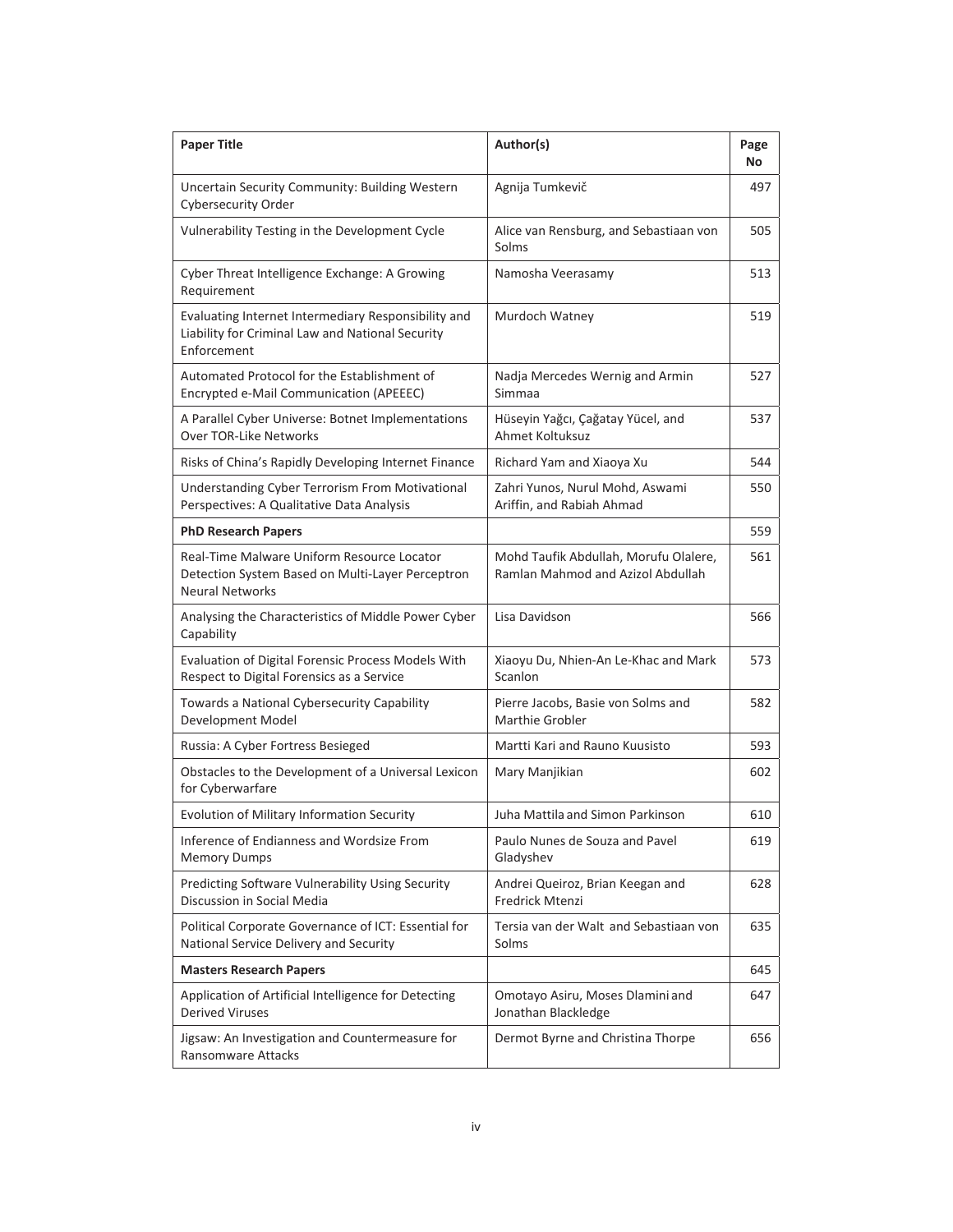| <b>Paper Title</b>                                                                                                       | Author(s)                                                                  | Page<br>No |
|--------------------------------------------------------------------------------------------------------------------------|----------------------------------------------------------------------------|------------|
| Uncertain Security Community: Building Western<br>Cybersecurity Order                                                    | Agnija Tumkevič                                                            | 497        |
| Vulnerability Testing in the Development Cycle                                                                           | Alice van Rensburg, and Sebastiaan von<br>Solms                            | 505        |
| Cyber Threat Intelligence Exchange: A Growing<br>Requirement                                                             | Namosha Veerasamy                                                          | 513        |
| Evaluating Internet Intermediary Responsibility and<br>Liability for Criminal Law and National Security<br>Enforcement   | Murdoch Watney                                                             | 519        |
| Automated Protocol for the Establishment of<br>Encrypted e-Mail Communication (APEEEC)                                   | Nadja Mercedes Wernig and Armin<br>Simmaa                                  | 527        |
| A Parallel Cyber Universe: Botnet Implementations<br><b>Over TOR-Like Networks</b>                                       | Hüseyin Yağcı, Çağatay Yücel, and<br>Ahmet Koltuksuz                       | 537        |
| Risks of China's Rapidly Developing Internet Finance                                                                     | Richard Yam and Xiaoya Xu                                                  | 544        |
| Understanding Cyber Terrorism From Motivational<br>Perspectives: A Qualitative Data Analysis                             | Zahri Yunos, Nurul Mohd, Aswami<br>Ariffin, and Rabiah Ahmad               | 550        |
| <b>PhD Research Papers</b>                                                                                               |                                                                            | 559        |
| Real-Time Malware Uniform Resource Locator<br>Detection System Based on Multi-Layer Perceptron<br><b>Neural Networks</b> | Mohd Taufik Abdullah, Morufu Olalere,<br>Ramlan Mahmod and Azizol Abdullah | 561        |
| Analysing the Characteristics of Middle Power Cyber<br>Capability                                                        | Lisa Davidson                                                              | 566        |
| Evaluation of Digital Forensic Process Models With<br>Respect to Digital Forensics as a Service                          | Xiaoyu Du, Nhien-An Le-Khac and Mark<br>Scanlon                            | 573        |
| Towards a National Cybersecurity Capability<br>Development Model                                                         | Pierre Jacobs, Basie von Solms and<br>Marthie Grobler                      | 582        |
| Russia: A Cyber Fortress Besieged                                                                                        | Martti Kari and Rauno Kuusisto                                             | 593        |
| Obstacles to the Development of a Universal Lexicon<br>for Cyberwarfare                                                  | Mary Manjikian                                                             | 602        |
| Evolution of Military Information Security                                                                               | Juha Mattila and Simon Parkinson                                           | 610        |
| Inference of Endianness and Wordsize From<br><b>Memory Dumps</b>                                                         | Paulo Nunes de Souza and Pavel<br>Gladyshev                                | 619        |
| Predicting Software Vulnerability Using Security<br>Discussion in Social Media                                           | Andrei Queiroz, Brian Keegan and<br>Fredrick Mtenzi                        | 628        |
| Political Corporate Governance of ICT: Essential for<br>National Service Delivery and Security                           | Tersia van der Walt and Sebastiaan von<br>Solms                            | 635        |
| <b>Masters Research Papers</b>                                                                                           |                                                                            | 645        |
| Application of Artificial Intelligence for Detecting<br><b>Derived Viruses</b>                                           | Omotayo Asiru, Moses Dlamini and<br>Jonathan Blackledge                    | 647        |
| Jigsaw: An Investigation and Countermeasure for<br>Ransomware Attacks                                                    | Dermot Byrne and Christina Thorpe                                          | 656        |